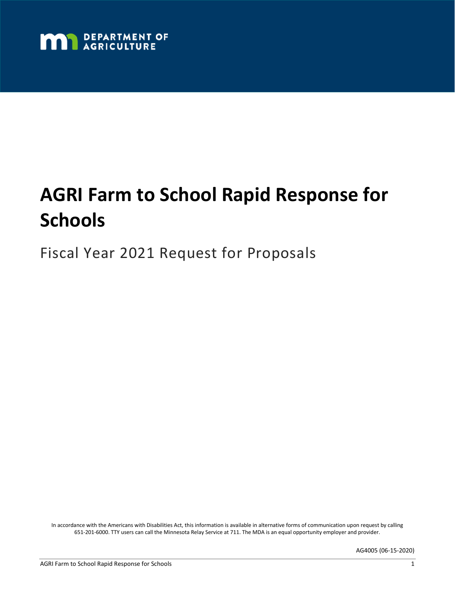

# **AGRI Farm to School Rapid Response for Schools**

Fiscal Year 2021 Request for Proposals

In accordance with the Americans with Disabilities Act, this information is available in alternative forms of communication upon request by calling 651-201-6000. TTY users can call the Minnesota Relay Service at 711. The MDA is an equal opportunity employer and provider.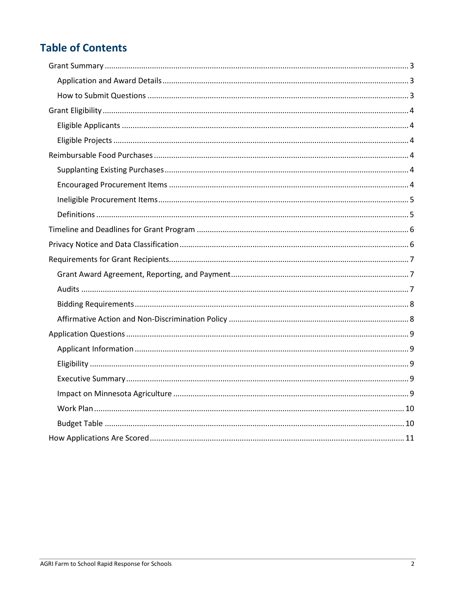# **Table of Contents**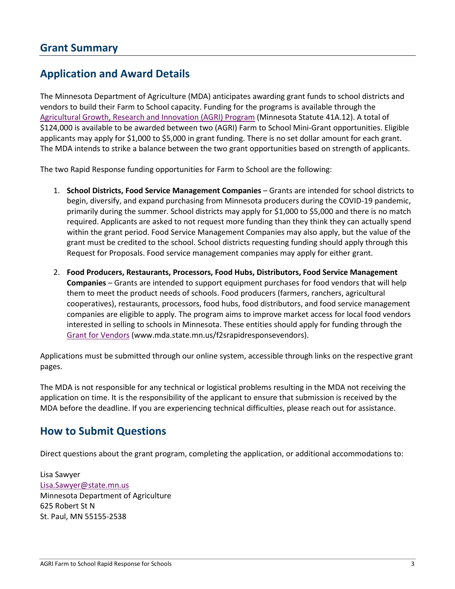### <span id="page-2-1"></span><span id="page-2-0"></span>**Application and Award Details**

The Minnesota Department of Agriculture (MDA) anticipates awarding grant funds to school districts and vendors to build their Farm to School capacity. Funding for the programs is available through the [Agricultural Growth, Research and Innovation \(AGRI\) Program](https://www.mda.state.mn.us/grants/agri) (Minnesota Statute 41A.12). A total of \$124,000 is available to be awarded between two (AGRI) Farm to School Mini-Grant opportunities. Eligible applicants may apply for \$1,000 to \$5,000 in grant funding. There is no set dollar amount for each grant. The MDA intends to strike a balance between the two grant opportunities based on strength of applicants.

The two Rapid Response funding opportunities for Farm to School are the following:

- 1. **School Districts, Food Service Management Companies** Grants are intended for school districts to begin, diversify, and expand purchasing from Minnesota producers during the COVID-19 pandemic, primarily during the summer. School districts may apply for \$1,000 to \$5,000 and there is no match required. Applicants are asked to not request more funding than they think they can actually spend within the grant period. Food Service Management Companies may also apply, but the value of the grant must be credited to the school. School districts requesting funding should apply through this Request for Proposals. Food service management companies may apply for either grant.
- 2. **Food Producers, Restaurants, Processors, Food Hubs, Distributors, Food Service Management Companies** – Grants are intended to support equipment purchases for food vendors that will help them to meet the product needs of schools. Food producers (farmers, ranchers, agricultural cooperatives), restaurants, processors, food hubs, food distributors, and food service management companies are eligible to apply. The program aims to improve market access for local food vendors interested in selling to schools in Minnesota. These entities should apply for funding through the [Grant for Vendors](http://www.mda.state.mn.us/f2srapidresponsevendors) (www.mda.state.mn.us/f2srapidresponsevendors).

Applications must be submitted through our online system, accessible through links on the respective grant pages.

The MDA is not responsible for any technical or logistical problems resulting in the MDA not receiving the application on time. It is the responsibility of the applicant to ensure that submission is received by the MDA before the deadline. If you are experiencing technical difficulties, please reach out for assistance.

### <span id="page-2-2"></span>**How to Submit Questions**

Direct questions about the grant program, completing the application, or additional accommodations to:

Lisa Sawyer [Lisa.Sawyer@state.mn.us](mailto:Lisa.Sawyer@state.mn.us) Minnesota Department of Agriculture 625 Robert St N St. Paul, MN 55155-2538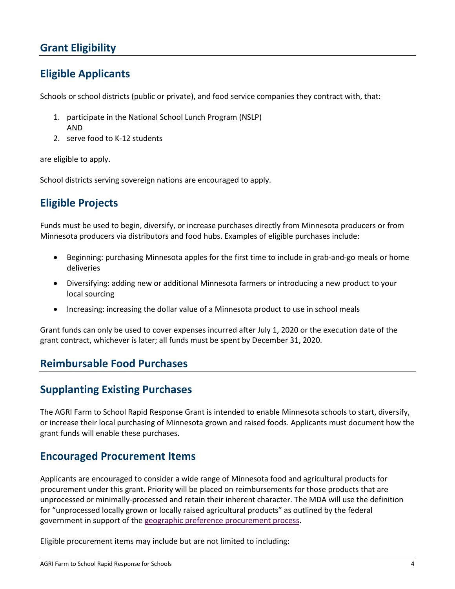## <span id="page-3-0"></span>**Grant Eligibility**

### <span id="page-3-1"></span>**Eligible Applicants**

Schools or school districts (public or private), and food service companies they contract with, that:

- 1. participate in the National School Lunch Program (NSLP) AND
- 2. serve food to K-12 students

are eligible to apply.

School districts serving sovereign nations are encouraged to apply.

# <span id="page-3-2"></span>**Eligible Projects**

Funds must be used to begin, diversify, or increase purchases directly from Minnesota producers or from Minnesota producers via distributors and food hubs. Examples of eligible purchases include:

- Beginning: purchasing Minnesota apples for the first time to include in grab-and-go meals or home deliveries
- Diversifying: adding new or additional Minnesota farmers or introducing a new product to your local sourcing
- Increasing: increasing the dollar value of a Minnesota product to use in school meals

Grant funds can only be used to cover expenses incurred after July 1, 2020 or the execution date of the grant contract, whichever is later; all funds must be spent by December 31, 2020.

### <span id="page-3-3"></span>**Reimbursable Food Purchases**

### <span id="page-3-4"></span>**Supplanting Existing Purchases**

The AGRI Farm to School Rapid Response Grant is intended to enable Minnesota schools to start, diversify, or increase their local purchasing of Minnesota grown and raised foods. Applicants must document how the grant funds will enable these purchases.

### <span id="page-3-5"></span>**Encouraged Procurement Items**

Applicants are encouraged to consider a wide range of Minnesota food and agricultural products for procurement under this grant. Priority will be placed on reimbursements for those products that are unprocessed or minimally-processed and retain their inherent character. The MDA will use the definition for "unprocessed locally grown or locally raised agricultural products" as outlined by the federal government in support of th[e geographic preference procurement process.](https://www.fns.usda.gov/school-meals/fr-042211)

Eligible procurement items may include but are not limited to including: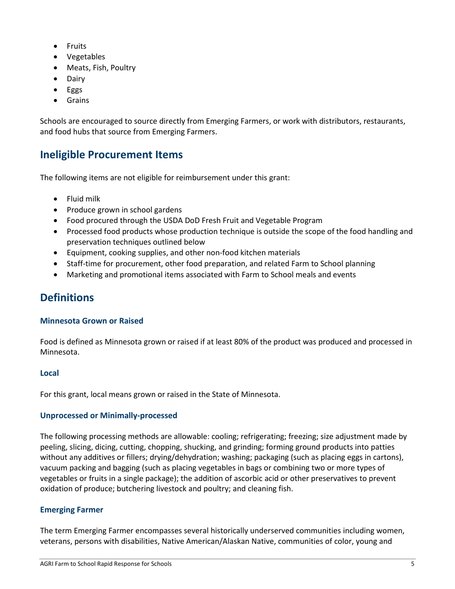- Fruits
- Vegetables
- Meats, Fish, Poultry
- Dairy
- Eggs
- Grains

Schools are encouraged to source directly from Emerging Farmers, or work with distributors, restaurants, and food hubs that source from Emerging Farmers.

### <span id="page-4-0"></span>**Ineligible Procurement Items**

The following items are not eligible for reimbursement under this grant:

- Fluid milk
- Produce grown in school gardens
- Food procured through the USDA DoD Fresh Fruit and Vegetable Program
- Processed food products whose production technique is outside the scope of the food handling and preservation techniques outlined below
- Equipment, cooking supplies, and other non-food kitchen materials
- Staff-time for procurement, other food preparation, and related Farm to School planning
- Marketing and promotional items associated with Farm to School meals and events

# <span id="page-4-1"></span>**Definitions**

#### **Minnesota Grown or Raised**

Food is defined as Minnesota grown or raised if at least 80% of the product was produced and processed in Minnesota.

#### **Local**

For this grant, local means grown or raised in the State of Minnesota.

#### **Unprocessed or Minimally-processed**

The following processing methods are allowable: cooling; refrigerating; freezing; size adjustment made by peeling, slicing, dicing, cutting, chopping, shucking, and grinding; forming ground products into patties without any additives or fillers; drying/dehydration; washing; packaging (such as placing eggs in cartons), vacuum packing and bagging (such as placing vegetables in bags or combining two or more types of vegetables or fruits in a single package); the addition of ascorbic acid or other preservatives to prevent oxidation of produce; butchering livestock and poultry; and cleaning fish.

#### **Emerging Farmer**

The term Emerging Farmer encompasses several historically underserved communities including women, veterans, persons with disabilities, Native American/Alaskan Native, communities of color, young and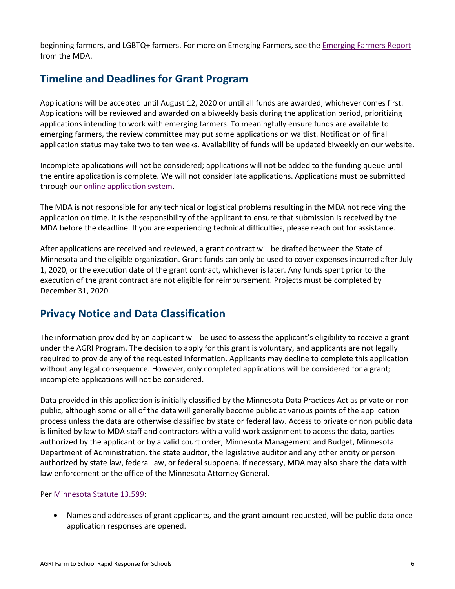beginning farmers, and LGBTQ+ farmers. For more on Emerging Farmers, see the [Emerging Farmers Report](https://www.leg.state.mn.us/docs/2020/mandated/200237.pdf) from the MDA.

# <span id="page-5-0"></span>**Timeline and Deadlines for Grant Program**

Applications will be accepted until August 12, 2020 or until all funds are awarded, whichever comes first. Applications will be reviewed and awarded on a biweekly basis during the application period, prioritizing applications intending to work with emerging farmers. To meaningfully ensure funds are available to emerging farmers, the review committee may put some applications on waitlist. Notification of final application status may take two to ten weeks. Availability of funds will be updated biweekly on our website.

Incomplete applications will not be considered; applications will not be added to the funding queue until the entire application is complete. We will not consider late applications. Applications must be submitted through our [online application system.](https://www.grantinterface.com/Home/Logon?urlkey=statemn)

The MDA is not responsible for any technical or logistical problems resulting in the MDA not receiving the application on time. It is the responsibility of the applicant to ensure that submission is received by the MDA before the deadline. If you are experiencing technical difficulties, please reach out for assistance.

After applications are received and reviewed, a grant contract will be drafted between the State of Minnesota and the eligible organization. Grant funds can only be used to cover expenses incurred after July 1, 2020, or the execution date of the grant contract, whichever is later. Any funds spent prior to the execution of the grant contract are not eligible for reimbursement. Projects must be completed by December 31, 2020.

# <span id="page-5-1"></span>**Privacy Notice and Data Classification**

The information provided by an applicant will be used to assess the applicant's eligibility to receive a grant under the AGRI Program. The decision to apply for this grant is voluntary, and applicants are not legally required to provide any of the requested information. Applicants may decline to complete this application without any legal consequence. However, only completed applications will be considered for a grant; incomplete applications will not be considered.

Data provided in this application is initially classified by the Minnesota Data Practices Act as private or non public, although some or all of the data will generally become public at various points of the application process unless the data are otherwise classified by state or federal law. Access to private or non public data is limited by law to MDA staff and contractors with a valid work assignment to access the data, parties authorized by the applicant or by a valid court order, Minnesota Management and Budget, Minnesota Department of Administration, the state auditor, the legislative auditor and any other entity or person authorized by state law, federal law, or federal subpoena. If necessary, MDA may also share the data with law enforcement or the office of the Minnesota Attorney General.

#### Per [Minnesota Statute 13.599:](https://www.revisor.mn.gov/statutes/?id=13.599)

• Names and addresses of grant applicants, and the grant amount requested, will be public data once application responses are opened.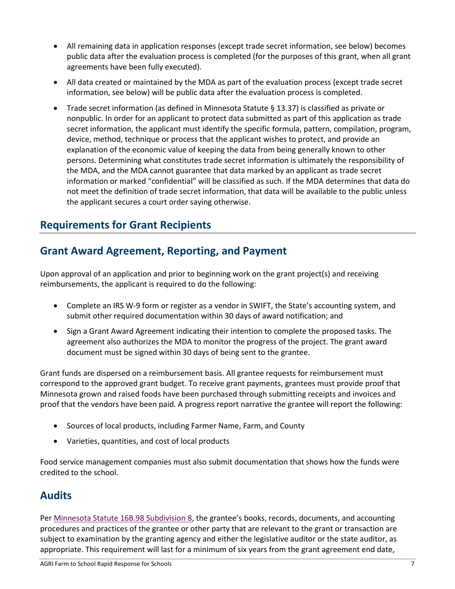- All remaining data in application responses (except trade secret information, see below) becomes public data after the evaluation process is completed (for the purposes of this grant, when all grant agreements have been fully executed).
- All data created or maintained by the MDA as part of the evaluation process (except trade secret information, see below) will be public data after the evaluation process is completed.
- Trade secret information (as defined in Minnesota Statute § 13.37) is classified as private or nonpublic. In order for an applicant to protect data submitted as part of this application as trade secret information, the applicant must identify the specific formula, pattern, compilation, program, device, method, technique or process that the applicant wishes to protect, and provide an explanation of the economic value of keeping the data from being generally known to other persons. Determining what constitutes trade secret information is ultimately the responsibility of the MDA, and the MDA cannot guarantee that data marked by an applicant as trade secret information or marked "confidential" will be classified as such. If the MDA determines that data do not meet the definition of trade secret information, that data will be available to the public unless the applicant secures a court order saying otherwise.

### <span id="page-6-0"></span>**Requirements for Grant Recipients**

# <span id="page-6-1"></span>**Grant Award Agreement, Reporting, and Payment**

Upon approval of an application and prior to beginning work on the grant project(s) and receiving reimbursements, the applicant is required to do the following:

- Complete an IRS W-9 form or register as a vendor in SWIFT, the State's accounting system, and submit other required documentation within 30 days of award notification; and
- Sign a Grant Award Agreement indicating their intention to complete the proposed tasks. The agreement also authorizes the MDA to monitor the progress of the project. The grant award document must be signed within 30 days of being sent to the grantee.

Grant funds are dispersed on a reimbursement basis. All grantee requests for reimbursement must correspond to the approved grant budget. To receive grant payments, grantees must provide proof that Minnesota grown and raised foods have been purchased through submitting receipts and invoices and proof that the vendors have been paid. A progress report narrative the grantee will report the following:

- Sources of local products, including Farmer Name, Farm, and County
- Varieties, quantities, and cost of local products

Food service management companies must also submit documentation that shows how the funds were credited to the school.

# <span id="page-6-2"></span>**Audits**

Per Minnesota Statute [16B.98 Subdivision 8,](https://www.revisor.mn.gov/statutes/?id=16B.98) the grantee's books, records, documents, and accounting procedures and practices of the grantee or other party that are relevant to the grant or transaction are subject to examination by the granting agency and either the legislative auditor or the state auditor, as appropriate. This requirement will last for a minimum of six years from the grant agreement end date,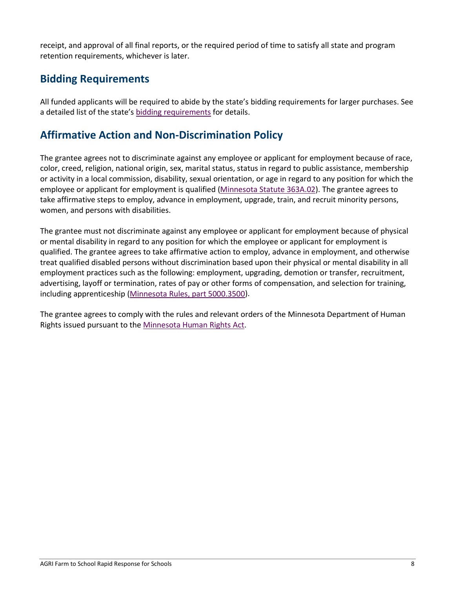receipt, and approval of all final reports, or the required period of time to satisfy all state and program retention requirements, whichever is later.

### <span id="page-7-0"></span>**Bidding Requirements**

All funded applicants will be required to abide by the state's bidding requirements for larger purchases. See a detailed list of the state's [bidding requirements](https://www.mda.state.mn.us/business-dev-loans-grants/bidding-requirements) for details.

### <span id="page-7-1"></span>**Affirmative Action and Non-Discrimination Policy**

The grantee agrees not to discriminate against any employee or applicant for employment because of race, color, creed, religion, national origin, sex, marital status, status in regard to public assistance, membership or activity in a local commission, disability, sexual orientation, or age in regard to any position for which the employee or applicant for employment is qualified [\(Minnesota](https://www.revisor.mn.gov/statutes/?id=363A.02) Statute 363A.02). The grantee agrees to take affirmative steps to employ, advance in employment, upgrade, train, and recruit minority persons, women, and persons with disabilities.

The grantee must not discriminate against any employee or applicant for employment because of physical or mental disability in regard to any position for which the employee or applicant for employment is qualified. The grantee agrees to take affirmative action to employ, advance in employment, and otherwise treat qualified disabled persons without discrimination based upon their physical or mental disability in all employment practices such as the following: employment, upgrading, demotion or transfer, recruitment, advertising, layoff or termination, rates of pay or other forms of compensation, and selection for training, including apprenticeship [\(Minnesota Rules, part 5000.3500\)](https://www.revisor.mn.gov/rules/?id=5000.3500).

The grantee agrees to comply with the rules and relevant orders of the Minnesota Department of Human Rights issued pursuant to th[e Minnesota Human Rights Act.](https://mn.gov/mdhr/yourrights/mhra/)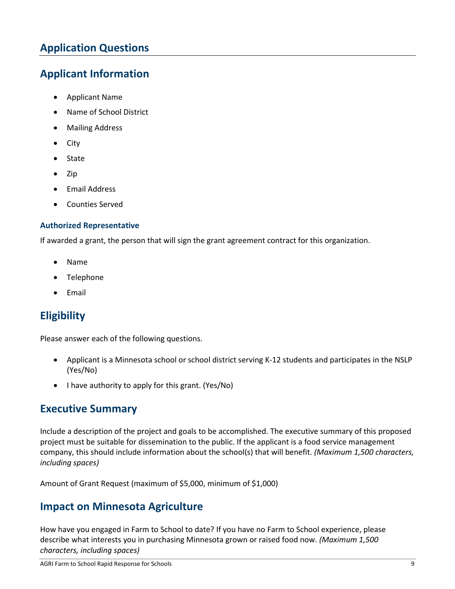# <span id="page-8-0"></span>**Application Questions**

### <span id="page-8-1"></span>**Applicant Information**

- Applicant Name
- Name of School District
- Mailing Address
- City
- State
- Zip
- Email Address
- Counties Served

#### **Authorized Representative**

If awarded a grant, the person that will sign the grant agreement contract for this organization.

- Name
- **Telephone**
- Email

### <span id="page-8-2"></span>**Eligibility**

Please answer each of the following questions.

- Applicant is a Minnesota school or school district serving K-12 students and participates in the NSLP (Yes/No)
- I have authority to apply for this grant. (Yes/No)

### <span id="page-8-3"></span>**Executive Summary**

Include a description of the project and goals to be accomplished. The executive summary of this proposed project must be suitable for dissemination to the public. If the applicant is a food service management company, this should include information about the school(s) that will benefit. *(Maximum 1,500 characters, including spaces)*

Amount of Grant Request (maximum of \$5,000, minimum of \$1,000)

### <span id="page-8-4"></span>**Impact on Minnesota Agriculture**

How have you engaged in Farm to School to date? If you have no Farm to School experience, please describe what interests you in purchasing Minnesota grown or raised food now. *(Maximum 1,500 characters, including spaces)*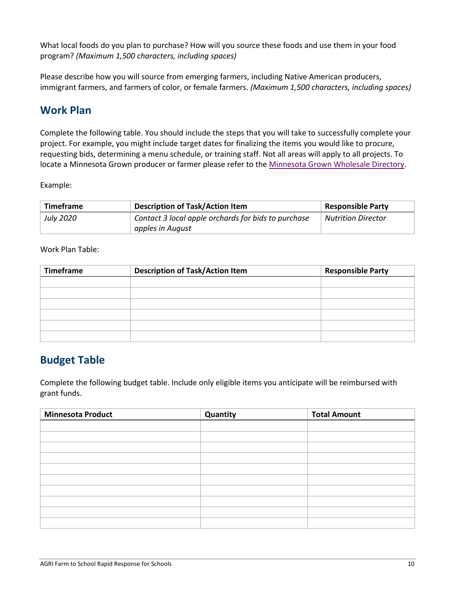What local foods do you plan to purchase? How will you source these foods and use them in your food program? *(Maximum 1,500 characters, including spaces)*

Please describe how you will source from emerging farmers, including Native American producers, immigrant farmers, and farmers of color, or female farmers. *(Maximum 1,500 characters, including spaces)*

## <span id="page-9-0"></span>**Work Plan**

Complete the following table. You should include the steps that you will take to successfully complete your project. For example, you might include target dates for finalizing the items you would like to procure, requesting bids, determining a menu schedule, or training staff. Not all areas will apply to all projects. To locate a Minnesota Grown producer or farmer please refer to the [Minnesota Grown Wholesale Directory.](https://minnesotagrown.com/wholesale-directory-info/)

Example:

| Timeframe        | <b>Description of Task/Action Item</b>              | <b>Responsible Party</b>  |
|------------------|-----------------------------------------------------|---------------------------|
| <b>July 2020</b> | Contact 3 local apple orchards for bids to purchase | <b>Nutrition Director</b> |
|                  | apples in August                                    |                           |

Work Plan Table:

| <b>Timeframe</b> | <b>Description of Task/Action Item</b> | <b>Responsible Party</b> |
|------------------|----------------------------------------|--------------------------|
|                  |                                        |                          |
|                  |                                        |                          |
|                  |                                        |                          |
|                  |                                        |                          |
|                  |                                        |                          |
|                  |                                        |                          |

### <span id="page-9-1"></span>**Budget Table**

Complete the following budget table. Include only eligible items you anticipate will be reimbursed with grant funds.

| <b>Minnesota Product</b> | Quantity | <b>Total Amount</b> |
|--------------------------|----------|---------------------|
|                          |          |                     |
|                          |          |                     |
|                          |          |                     |
|                          |          |                     |
|                          |          |                     |
|                          |          |                     |
|                          |          |                     |
|                          |          |                     |
|                          |          |                     |
|                          |          |                     |